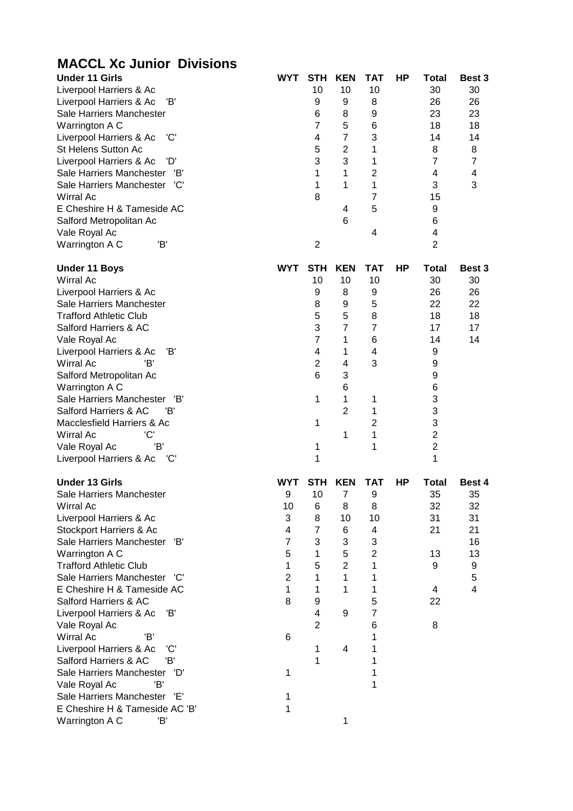| <b>MACCL Xc Junior Divisions</b>                                                                                                                                                                                                                                                                                                                                                                                                                                                                                                                                                                           |                                                                                                             |                                                                                                        |                                                                                                           |                                                                                                                            |    |                                                                                                                              |                                                                                             |
|------------------------------------------------------------------------------------------------------------------------------------------------------------------------------------------------------------------------------------------------------------------------------------------------------------------------------------------------------------------------------------------------------------------------------------------------------------------------------------------------------------------------------------------------------------------------------------------------------------|-------------------------------------------------------------------------------------------------------------|--------------------------------------------------------------------------------------------------------|-----------------------------------------------------------------------------------------------------------|----------------------------------------------------------------------------------------------------------------------------|----|------------------------------------------------------------------------------------------------------------------------------|---------------------------------------------------------------------------------------------|
| <b>Under 11 Girls</b><br>Liverpool Harriers & Ac<br>Liverpool Harriers & Ac<br>Έ<br>Sale Harriers Manchester<br>Warrington A C<br>'C'<br>Liverpool Harriers & Ac<br><b>St Helens Sutton Ac</b><br>Liverpool Harriers & Ac<br>'D'<br>Sale Harriers Manchester<br>'B'<br>Sale Harriers Manchester<br>'C'<br><b>Wirral Ac</b><br>E Cheshire H & Tameside AC<br>Salford Metropolitan Ac<br>Vale Royal Ac<br>'B'<br>Warrington A C                                                                                                                                                                              | <b>WYT</b>                                                                                                  | <b>STH</b><br>10<br>9<br>6<br>$\overline{7}$<br>4<br>5<br>3<br>1<br>1<br>8<br>$\overline{2}$           | <b>KEN</b><br>10<br>9<br>8<br>5<br>$\overline{7}$<br>$\overline{2}$<br>3<br>1<br>1<br>4<br>6              | <b>TAT</b><br>10<br>8<br>9<br>6<br>3<br>1<br>1<br>$\overline{c}$<br>1<br>$\overline{7}$<br>5<br>4                          | HP | <b>Total</b><br>30<br>26<br>23<br>18<br>14<br>8<br>$\overline{7}$<br>4<br>3<br>15<br>9<br>6<br>4<br>$\overline{2}$           | Best 3<br>30<br>26<br>23<br>18<br>14<br>8<br>$\overline{7}$<br>$\overline{\mathbf{4}}$<br>3 |
| <b>Under 11 Boys</b><br><b>Wirral Ac</b><br>Liverpool Harriers & Ac<br>Sale Harriers Manchester<br><b>Trafford Athletic Club</b><br>Salford Harriers & AC<br>Vale Royal Ac<br>Έ<br>Liverpool Harriers & Ac<br>Wirral Ac<br>'B'<br>Salford Metropolitan Ac<br>Warrington A C<br>Sale Harriers Manchester 'B'<br>Salford Harriers & AC<br>'B'<br>Macclesfield Harriers & Ac<br>'C'<br>Wirral Ac<br>'B'<br>Vale Royal Ac<br>Liverpool Harriers & Ac<br>'C'                                                                                                                                                    | <b>WYT</b>                                                                                                  | <b>STH</b><br>10<br>9<br>8<br>5<br>3<br>$\overline{7}$<br>4<br>$\overline{c}$<br>6<br>1<br>1<br>1<br>1 | <b>KEN</b><br>10<br>8<br>9<br>5<br>$\overline{7}$<br>1<br>1<br>4<br>3<br>6<br>1<br>$\overline{2}$<br>1    | <b>TAT</b><br>10<br>9<br>5<br>8<br>$\overline{7}$<br>6<br>4<br>3<br>1<br>1<br>2<br>1<br>1                                  | HP | <b>Total</b><br>30<br>26<br>22<br>18<br>17<br>14<br>9<br>9<br>9<br>6<br>3<br>3<br>3<br>$\overline{2}$<br>$\overline{2}$<br>1 | Best 3<br>30<br>26<br>22<br>18<br>17<br>14                                                  |
| <b>Under 13 Girls</b><br>Sale Harriers Manchester<br><b>Wirral Ac</b><br>Liverpool Harriers & Ac<br>Stockport Harriers & Ac<br>Sale Harriers Manchester<br>'B'<br>Warrington A C<br><b>Trafford Athletic Club</b><br>Sale Harriers Manchester 'C'<br>E Cheshire H & Tameside AC<br>Salford Harriers & AC<br>Liverpool Harriers & Ac<br>'B'<br>Vale Royal Ac<br>Wirral Ac<br>'B'<br>Liverpool Harriers & Ac<br>'C'<br>'B'<br>Salford Harriers & AC<br>Sale Harriers Manchester<br>'D'<br>'B'<br>Vale Royal Ac<br>Sale Harriers Manchester<br>'E'<br>E Cheshire H & Tameside AC 'B'<br>'B'<br>Warrington A C | <b>WYT</b><br>9<br>10<br>3<br>4<br>$\overline{7}$<br>5<br>1<br>$\overline{2}$<br>1<br>8<br>6<br>1<br>1<br>1 | 10<br>6<br>8<br>7<br>3<br>$\mathbf{1}$<br>5<br>1<br>1<br>9<br>4<br>$\overline{2}$<br>1<br>1            | STH KEN<br>$\overline{7}$<br>8<br>10<br>6<br>3<br>5<br>$\overline{2}$<br>$\mathbf{1}$<br>1<br>9<br>4<br>1 | <b>TAT</b><br>9<br>8<br>10<br>4<br>3<br>$\overline{c}$<br>1<br>1<br>1<br>5<br>$\overline{7}$<br>6<br>1<br>1<br>1<br>1<br>1 | HP | <b>Total</b><br>35<br>32<br>31<br>21<br>13<br>9<br>4<br>22<br>8                                                              | Best 4<br>35<br>32<br>31<br>21<br>16<br>13<br>9<br>5<br>$\overline{4}$                      |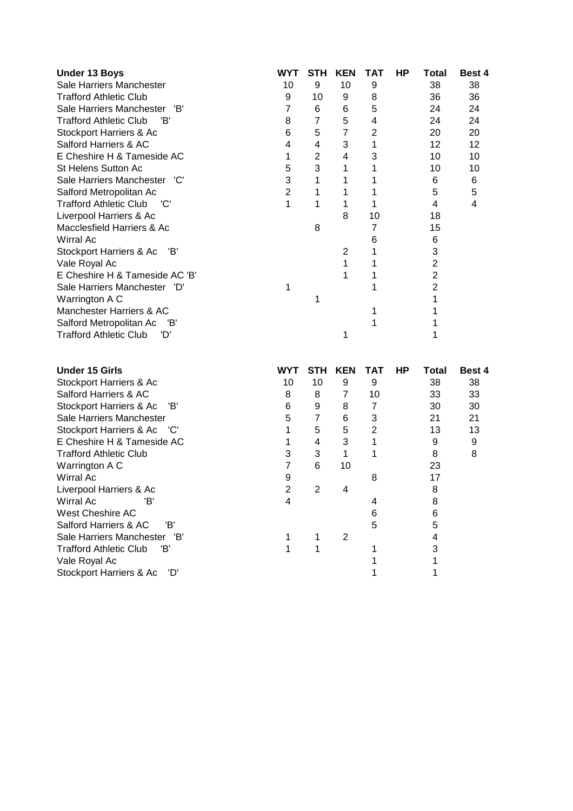| <b>Under 13 Boys</b>                 | WYT | <b>STH</b> | <b>KEN</b> | ТАТ | ΗP | Total | <b>Best 4</b> |
|--------------------------------------|-----|------------|------------|-----|----|-------|---------------|
| Sale Harriers Manchester             | 10  | 9          | 10         | 9   |    | 38    | 38            |
| Trafford Athletic Club               | 9   | 10         | 9          | 8   |    | 36    | 36            |
| Sale Harriers Manchester<br>'B'      |     | 6          | 6          | 5   |    | 24    | 24            |
| <b>Trafford Athletic Club</b><br>'B' | 8   | 7          | 5          | 4   |    | 24    | 24            |
| Stockport Harriers & Ac              | 6   | 5          | 7          | 2   |    | 20    | 20            |
| Salford Harriers & AC                | 4   | 4          | 3          |     |    | 12    | 12            |
| E Cheshire H & Tameside AC           | 1   | 2          | 4          | 3   |    | 10    | 10            |
| <b>St Helens Sutton Ac</b>           | 5   | 3          | 1          |     |    | 10    | 10            |
| Sale Harriers Manchester 'C'         | 3   |            |            |     |    | 6     | 6             |
| Salford Metropolitan Ac              | 2   |            |            |     |    | 5     | 5             |
| <b>Trafford Athletic Club</b><br>'C' |     |            |            |     |    | 4     | 4             |
| Liverpool Harriers & Ac              |     |            | 8          | 10  |    | 18    |               |
| Macclesfield Harriers & Ac           |     | 8          |            |     |    | 15    |               |
| Wirral Ac                            |     |            |            | 6   |    | 6     |               |
| Stockport Harriers & Ac<br>- 'B'     |     |            | 2          |     |    | 3     |               |
| Vale Royal Ac                        |     |            |            |     |    | 2     |               |
| E Cheshire H & Tameside AC 'B'       |     |            |            |     |    | 2     |               |
| Sale Harriers Manchester<br>'D'      |     |            |            |     |    |       |               |
| Warrington A C                       |     |            |            |     |    |       |               |
| Manchester Harriers & AC             |     |            |            |     |    |       |               |
| Salford Metropolitan Ac<br>'B'       |     |            |            |     |    |       |               |
| Trafford Athletic Club<br>'D'        |     |            | 1          |     |    |       |               |

| <b>Under 15 Girls</b>           | <b>WYT</b> | STH | KEN | ТАТ | НP | Total | Best 4 |
|---------------------------------|------------|-----|-----|-----|----|-------|--------|
| Stockport Harriers & Ac         | 10         | 10  | 9   | 9   |    | 38    | 38     |
| Salford Harriers & AC           | 8          | 8   |     | 10  |    | 33    | 33     |
| Stockport Harriers & Ac<br>'B'  | 6          | 9   | 8   |     |    | 30    | 30     |
| Sale Harriers Manchester        | 5          | 7   | 6   | 3   |    | 21    | 21     |
| Stockport Harriers & Ac 'C'     |            | 5   | 5   | 2   |    | 13    | 13     |
| E Cheshire H & Tameside AC      |            | 4   | 3   |     |    | 9     | 9      |
| <b>Trafford Athletic Club</b>   | з          | 3   |     |     |    | 8     | 8      |
| Warrington A C                  |            | 6   | 10  |     |    | 23    |        |
| Wirral Ac                       | 9          |     |     | 8   |    | 17    |        |
| Liverpool Harriers & Ac         | 2          | 2   | 4   |     |    | 8     |        |
| 'B'<br>Wirral Ac                | 4          |     |     | 4   |    | 8     |        |
| West Cheshire AC                |            |     |     | 6   |    | 6     |        |
| 'B'<br>Salford Harriers & AC    |            |     |     | 5   |    | 5     |        |
| Sale Harriers Manchester<br>'B' |            |     | 2   |     |    |       |        |
| Trafford Athletic Club<br>'B'   |            |     |     |     |    |       |        |
| Vale Royal Ac                   |            |     |     |     |    |       |        |
| Stockport Harriers & Ac 'D'     |            |     |     |     |    |       |        |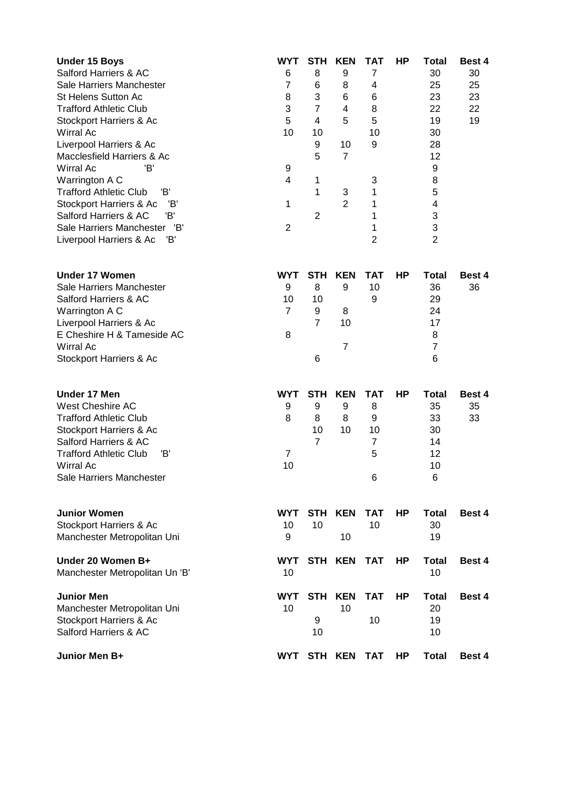| <b>Under 15 Boys</b><br>Salford Harriers & AC<br>Sale Harriers Manchester<br><b>St Helens Sutton Ac</b><br><b>Trafford Athletic Club</b><br>Stockport Harriers & Ac<br>Wirral Ac<br>Liverpool Harriers & Ac<br>Macclesfield Harriers & Ac<br>'B'<br>Wirral Ac<br>Warrington A C<br><b>Trafford Athletic Club</b><br>'B'<br>Stockport Harriers & Ac<br>'В'<br>'B'<br>Salford Harriers & AC<br>'B'<br>Sale Harriers Manchester<br>Έ<br>Liverpool Harriers & Ac | <b>WYT</b><br>6<br>$\overline{7}$<br>8<br>3<br>5<br>10<br>9<br>4<br>1<br>$\overline{2}$ | <b>STH</b><br>8<br>6<br>3<br>$\overline{7}$<br>4<br>10<br>9<br>5<br>1<br>1<br>$\overline{2}$ | <b>KEN</b><br>9<br>8<br>6<br>4<br>5<br>10<br>$\overline{7}$<br>3<br>$\overline{2}$ | TAT<br>$\overline{7}$<br>4<br>6<br>8<br>5<br>10<br>9<br>3<br>1<br>1<br>1<br>1<br>$\overline{2}$ | HP        | Total<br>30<br>25<br>23<br>22<br>19<br>30<br>28<br>12<br>9<br>8<br>5<br>4<br>3<br>3<br>$\overline{2}$ | Best 4<br>30<br>25<br>23<br>22<br>19 |
|--------------------------------------------------------------------------------------------------------------------------------------------------------------------------------------------------------------------------------------------------------------------------------------------------------------------------------------------------------------------------------------------------------------------------------------------------------------|-----------------------------------------------------------------------------------------|----------------------------------------------------------------------------------------------|------------------------------------------------------------------------------------|-------------------------------------------------------------------------------------------------|-----------|-------------------------------------------------------------------------------------------------------|--------------------------------------|
| <b>Under 17 Women</b><br>Sale Harriers Manchester<br>Salford Harriers & AC<br>Warrington A C<br>Liverpool Harriers & Ac<br>E Cheshire H & Tameside AC<br>Wirral Ac<br>Stockport Harriers & Ac                                                                                                                                                                                                                                                                | <b>WYT</b><br>9<br>10<br>$\overline{7}$<br>8                                            | <b>STH</b><br>8<br>10<br>9<br>$\overline{7}$<br>6                                            | <b>KEN</b><br>9<br>8<br>10<br>$\overline{7}$                                       | <b>TAT</b><br>10<br>9                                                                           | HP        | <b>Total</b><br>36<br>29<br>24<br>17<br>8<br>$\overline{7}$<br>6                                      | Best 4<br>36                         |
| <b>Under 17 Men</b><br><b>West Cheshire AC</b><br><b>Trafford Athletic Club</b><br>Stockport Harriers & Ac<br>Salford Harriers & AC<br><b>Trafford Athletic Club</b><br>'B'<br><b>Wirral Ac</b><br>Sale Harriers Manchester                                                                                                                                                                                                                                  | <b>WYT</b><br>9<br>8<br>7<br>10                                                         | <b>STH</b><br>9<br>8<br>10<br>$\overline{7}$                                                 | <b>KEN</b><br>9<br>8<br>10                                                         | <b>TAT</b><br>8<br>9<br>10<br>7<br>5<br>6                                                       | HP        | <b>Total</b><br>35<br>33<br>30<br>14<br>12<br>10<br>6                                                 | Best 4<br>35<br>33                   |
| <b>Junior Women</b><br>Stockport Harriers & Ac<br>Manchester Metropolitan Uni                                                                                                                                                                                                                                                                                                                                                                                | <b>WYT</b><br>10<br>9                                                                   | 10                                                                                           | STH KEN<br>10                                                                      | <b>TAT</b><br>10                                                                                | <b>HP</b> | Total<br>30<br>19                                                                                     | Best 4                               |
| Under 20 Women B+<br>Manchester Metropolitan Un 'B'                                                                                                                                                                                                                                                                                                                                                                                                          | <b>WYT</b><br>10                                                                        |                                                                                              | STH KEN                                                                            | <b>TAT</b>                                                                                      | HP        | <b>Total</b><br>10                                                                                    | Best 4                               |
| <b>Junior Men</b><br>Manchester Metropolitan Uni<br>Stockport Harriers & Ac<br>Salford Harriers & AC                                                                                                                                                                                                                                                                                                                                                         | <b>WYT</b><br>10                                                                        | 9<br>10                                                                                      | STH KEN<br>10                                                                      | <b>TAT</b><br>10                                                                                | <b>HP</b> | <b>Total</b><br>20<br>19<br>10                                                                        | Best 4                               |
| Junior Men B+                                                                                                                                                                                                                                                                                                                                                                                                                                                | <b>WYT</b>                                                                              |                                                                                              | STH KEN                                                                            | <b>TAT</b>                                                                                      | HP        | Total                                                                                                 | <b>Best 4</b>                        |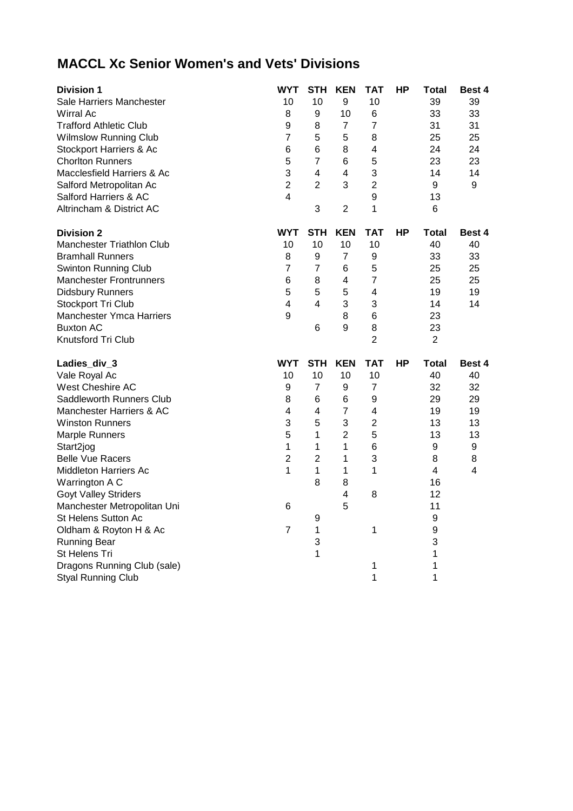## **MACCL Xc Senior Women's and Vets' Divisions**

| <b>Division 1</b>                | WYT            | <b>STH</b>       | <b>KEN</b>              | <b>TAT</b>              | <b>HP</b> | Total          | Best 4 |
|----------------------------------|----------------|------------------|-------------------------|-------------------------|-----------|----------------|--------|
| Sale Harriers Manchester         | 10             | 10               | 9                       | 10                      |           | 39             | 39     |
| Wirral Ac                        | 8              | $\boldsymbol{9}$ | 10                      | 6                       |           | 33             | 33     |
| <b>Trafford Athletic Club</b>    | 9              | 8                | $\overline{7}$          | 7                       |           | 31             | 31     |
| <b>Wilmslow Running Club</b>     | $\overline{7}$ | 5                | 5                       | 8                       |           | 25             | 25     |
| Stockport Harriers & Ac          | 6              | 6                | 8                       | $\overline{\mathbf{4}}$ |           | 24             | 24     |
| <b>Chorlton Runners</b>          | 5              | $\overline{7}$   | 6                       | 5                       |           | 23             | 23     |
| Macclesfield Harriers & Ac       | 3              | 4                | $\overline{\mathbf{4}}$ | 3                       |           | 14             | 14     |
| Salford Metropolitan Ac          | $\overline{2}$ | $\overline{2}$   | 3                       | $\overline{2}$          |           | 9              | 9      |
| Salford Harriers & AC            | 4              |                  |                         | 9                       |           | 13             |        |
| Altrincham & District AC         |                | 3                | $\overline{2}$          | 1                       |           | 6              |        |
| <b>Division 2</b>                | <b>WYT</b>     | <b>STH</b>       | <b>KEN</b>              | <b>TAT</b>              | HP        | <b>Total</b>   | Best 4 |
| <b>Manchester Triathlon Club</b> | 10             | 10               | 10                      | 10                      |           | 40             | 40     |
| <b>Bramhall Runners</b>          | 8              | 9                | $\overline{7}$          | 9                       |           | 33             | 33     |
| Swinton Running Club             | 7              | $\overline{7}$   | 6                       | 5                       |           | 25             | 25     |
| <b>Manchester Frontrunners</b>   | 6              | 8                | 4                       | $\overline{7}$          |           | 25             | 25     |
| <b>Didsbury Runners</b>          | 5              | 5                | 5                       | $\overline{\mathbf{4}}$ |           | 19             | 19     |
| Stockport Tri Club               | 4              | 4                | 3                       | 3                       |           | 14             | 14     |
| <b>Manchester Ymca Harriers</b>  | 9              |                  | 8                       | 6                       |           | 23             |        |
| <b>Buxton AC</b>                 |                | 6                | 9                       | 8                       |           | 23             |        |
|                                  |                |                  |                         |                         |           |                |        |
| Knutsford Tri Club               |                |                  |                         | $\overline{2}$          |           | $\overline{2}$ |        |
| Ladies_div_3                     | <b>WYT</b>     | <b>STH</b>       | <b>KEN</b>              | <b>TAT</b>              | HP        | Total          | Best 4 |
| Vale Royal Ac                    | 10             | 10               | 10                      | 10                      |           | 40             | 40     |
| <b>West Cheshire AC</b>          | 9              | 7                | 9                       | 7                       |           | 32             | 32     |
| Saddleworth Runners Club         | 8              | 6                | 6                       | 9                       |           | 29             | 29     |
| Manchester Harriers & AC         | 4              | 4                | $\overline{7}$          | 4                       |           | 19             | 19     |
| <b>Winston Runners</b>           | 3              | 5                | 3                       | $\overline{2}$          |           | 13             | 13     |
| <b>Marple Runners</b>            | 5              | 1                | $\overline{2}$          | 5                       |           | 13             | 13     |
| Start2jog                        | 1              | 1                | $\mathbf{1}$            | 6                       |           | 9              | 9      |
| <b>Belle Vue Racers</b>          | $\overline{2}$ | $\overline{2}$   | 1                       | 3                       |           | 8              | 8      |
| Middleton Harriers Ac            | 1              | 1                | 1                       | 1                       |           | 4              | 4      |
| Warrington A C                   |                | 8                | 8                       |                         |           | 16             |        |
| <b>Goyt Valley Striders</b>      |                |                  | 4                       | 8                       |           | 12             |        |
| Manchester Metropolitan Uni      | 6              |                  | 5                       |                         |           | 11             |        |
| St Helens Sutton Ac              |                | 9                |                         |                         |           | 9              |        |
| Oldham & Royton H & Ac           | 7              | 1                |                         | 1                       |           | 9              |        |
| <b>Running Bear</b>              |                | 3                |                         |                         |           | 3              |        |
| St Helens Tri                    |                | 1                |                         |                         |           | 1              |        |
| Dragons Running Club (sale)      |                |                  |                         | 1                       |           | 1              |        |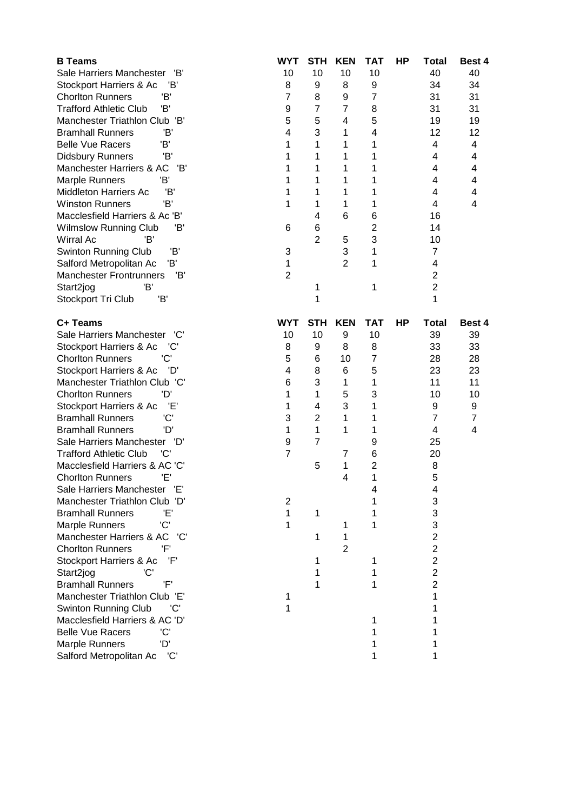| <b>B</b> Teams                       | <b>WYT</b>     | <b>STH</b>     | <b>KEN</b>     | TAT            | HP | <b>Total</b>   | Best 4         |
|--------------------------------------|----------------|----------------|----------------|----------------|----|----------------|----------------|
| Sale Harriers Manchester<br>'B'      | 10             | 10             | 10             | 10             |    | 40             | 40             |
| Stockport Harriers & Ac<br>'B        | 8              | 9              | 8              | 9              |    | 34             | 34             |
| <b>Chorlton Runners</b><br>'B'       | $\overline{7}$ | 8              | 9              | 7              |    | 31             | 31             |
| <b>Trafford Athletic Club</b><br>'B' | 9              | $\overline{7}$ | $\overline{7}$ | 8              |    | 31             | 31             |
| Manchester Triathlon Club 'B'        | 5              | 5              | 4              | 5              |    | 19             | 19             |
| <b>Bramhall Runners</b><br>'B'       | 4              | 3              | 1              | 4              |    | 12             | 12             |
| 'B'<br><b>Belle Vue Racers</b>       | 1              | 1              | 1              | 1              |    | 4              | 4              |
| 'B'<br><b>Didsbury Runners</b>       | 1              | 1              | 1              | 1              |    | 4              | 4              |
| 'B'<br>Manchester Harriers & AC      | 1              | 1              | 1              | 1              |    | 4              | 4              |
| 'B'<br><b>Marple Runners</b>         | 1              | 1              | 1              | 1              |    | 4              | 4              |
| 'B'<br><b>Middleton Harriers Ac</b>  | 1              | 1              | 1              | 1              |    | 4              | 4              |
| 'B'<br><b>Winston Runners</b>        | 1              | 1              | 1              | 1              |    | 4              | 4              |
| Macclesfield Harriers & Ac 'B'       |                | 4              | 6              | 6              |    | 16             |                |
| Wilmslow Running Club<br>'B'         | 6              | 6              |                | $\overline{2}$ |    | 14             |                |
| <b>Wirral Ac</b><br>'B'              |                | $\overline{2}$ | 5              | 3              |    | 10             |                |
| 'B'<br><b>Swinton Running Club</b>   | 3              |                | 3              | 1              |    | $\overline{7}$ |                |
| Έ<br>Salford Metropolitan Ac         | 1              |                | $\overline{2}$ | 1              |    | 4              |                |
| <b>Manchester Frontrunners</b><br>Έ  | $\overline{2}$ |                |                |                |    | $\overline{2}$ |                |
| 'B'<br>Start2jog                     |                | 1              |                | 1              |    | $\overline{2}$ |                |
| Stockport Tri Club<br>'B'            |                | 1              |                |                |    | 1              |                |
|                                      |                |                |                |                |    |                |                |
| C+ Teams                             | <b>WYT</b>     | <b>STH</b>     | <b>KEN</b>     | <b>TAT</b>     | HP | <b>Total</b>   | Best 4         |
| Sale Harriers Manchester<br>'C'      | 10             | 10             | 9              | 10             |    | 39             | 39             |
| Stockport Harriers & Ac<br>'C'       | 8              | 9              | 8              | 8              |    | 33             | 33             |
| 'C'<br><b>Chorlton Runners</b>       | 5              | 6              | 10             | 7              |    | 28             | 28             |
| Stockport Harriers & Ac<br>'D'       | 4              | 8              | 6              | 5              |    | 23             | 23             |
| Manchester Triathlon Club 'C'        | 6              | 3              | 1              | 1              |    | 11             | 11             |
| 'D'<br><b>Chorlton Runners</b>       | 1              | 1              | 5              | 3              |    | 10             | 10             |
| Έ,<br>Stockport Harriers & Ac        | 1              | 4              | 3              | 1              |    | 9              | 9              |
| 'C'<br><b>Bramhall Runners</b>       | 3              | $\overline{2}$ | 1              | 1              |    | $\overline{7}$ | $\overline{7}$ |
| 'D'<br><b>Bramhall Runners</b>       | 1              | 1              | 1              | 1              |    | 4              | 4              |
| Sale Harriers Manchester<br>'D'      | 9              | $\overline{7}$ |                | 9              |    | 25             |                |
| 'C'<br><b>Trafford Athletic Club</b> | $\overline{7}$ |                | 7              | 6              |    | 20             |                |
| Macclesfield Harriers & AC 'C'       |                | 5              | 1              | $\overline{c}$ |    | 8              |                |
| <b>Chorlton Runners</b><br>Έ'        |                |                | 4              | 1              |    | 5              |                |
| Sale Harriers Manchester             |                |                |                | 4              |    | 4              |                |
| Manchester Triathlon Club 'D'        | 2              |                |                |                |    | 3              |                |
| <b>Bramhall Runners</b><br>Έ         | 1              | 1              |                |                |    | 3              |                |
| 'C'<br><b>Marple Runners</b>         | 1              |                | 1              | 1              |    | 3              |                |
| Manchester Harriers & AC<br>'C'      |                | 1              | 1              |                |    | $\overline{2}$ |                |
| <b>Chorlton Runners</b><br>'F'       |                |                | 2              |                |    | $\overline{c}$ |                |
| Stockport Harriers & Ac<br>'F'       |                | 1              |                | 1              |    | $\overline{c}$ |                |
| 'C'<br>Start2jog                     |                | 1              |                | 1              |    | $\overline{2}$ |                |
| 'F'<br><b>Bramhall Runners</b>       |                | 1              |                |                |    | $\overline{2}$ |                |
| Manchester Triathlon Club 'E'        | 1              |                |                |                |    | 1              |                |
| <b>Swinton Running Club</b><br>'C    | 1              |                |                |                |    |                |                |
| Macclesfield Harriers & AC 'D'       |                |                |                |                |    |                |                |
| <b>Belle Vue Racers</b><br>'C'       |                |                |                |                |    |                |                |
| 'D'<br><b>Marple Runners</b>         |                |                |                |                |    |                |                |
| Salford Metropolitan Ac<br>'C'       |                |                |                | 1              |    | 1              |                |
|                                      |                |                |                |                |    |                |                |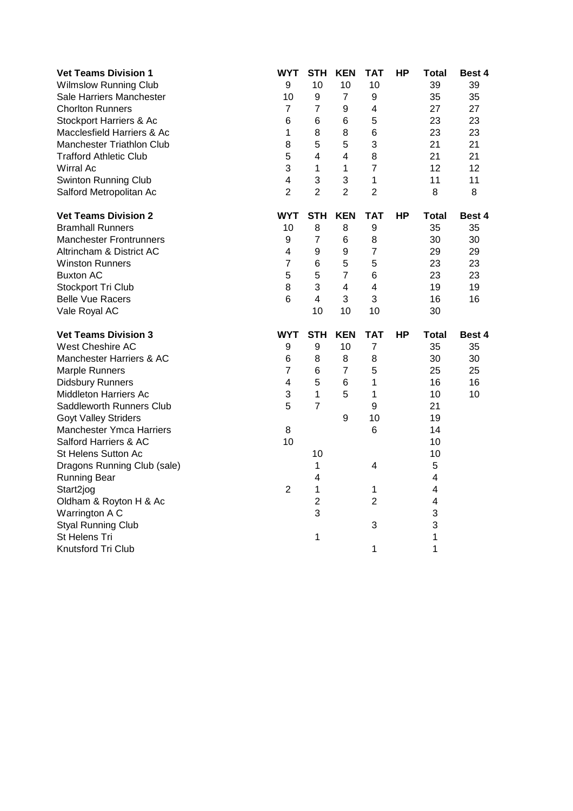| <b>Vet Teams Division 1</b>     | <b>WYT</b>              | <b>STH</b>              | <b>KEN</b>              | <b>TAT</b>     | <b>HP</b> | <b>Total</b> | Best 4        |
|---------------------------------|-------------------------|-------------------------|-------------------------|----------------|-----------|--------------|---------------|
| <b>Wilmslow Running Club</b>    | $\boldsymbol{9}$        | 10                      | 10                      | 10             |           | 39           | 39            |
| Sale Harriers Manchester        | 10                      | 9                       | $\overline{7}$          | 9              |           | 35           | 35            |
| <b>Chorlton Runners</b>         | 7                       | $\overline{7}$          | 9                       | 4              |           | 27           | 27            |
| Stockport Harriers & Ac         | 6                       | 6                       | 6                       | 5              |           | 23           | 23            |
| Macclesfield Harriers & Ac      | 1                       | 8                       | 8                       | 6              |           | 23           | 23            |
| Manchester Triathlon Club       | 8                       | 5                       | 5                       | 3              |           | 21           | 21            |
| <b>Trafford Athletic Club</b>   | 5                       | $\overline{4}$          | $\overline{\mathbf{4}}$ | 8              |           | 21           | 21            |
| <b>Wirral Ac</b>                | 3                       | $\mathbf{1}$            | 1                       | $\overline{7}$ |           | 12           | 12            |
| <b>Swinton Running Club</b>     | $\overline{\mathbf{4}}$ | 3                       | 3                       | $\mathbf{1}$   |           | 11           | 11            |
| Salford Metropolitan Ac         | $\overline{2}$          | $\overline{2}$          | $\overline{2}$          | $\overline{2}$ |           | 8            | 8             |
| <b>Vet Teams Division 2</b>     | <b>WYT</b>              | <b>STH</b>              | <b>KEN</b>              | <b>TAT</b>     | <b>HP</b> | Total        | Best 4        |
| <b>Bramhall Runners</b>         | 10                      | 8                       | 8                       | 9              |           | 35           | 35            |
| <b>Manchester Frontrunners</b>  | $\boldsymbol{9}$        | $\overline{7}$          | 6                       | 8              |           | 30           | 30            |
| Altrincham & District AC        | $\overline{\mathbf{4}}$ | 9                       | 9                       | $\overline{7}$ |           | 29           | 29            |
| <b>Winston Runners</b>          | $\overline{7}$          | 6                       | 5                       | 5              |           | 23           | 23            |
| <b>Buxton AC</b>                | 5                       | 5                       | $\overline{7}$          | 6              |           | 23           | 23            |
| Stockport Tri Club              | 8                       | 3                       | $\overline{\mathbf{4}}$ | 4              |           | 19           | 19            |
| <b>Belle Vue Racers</b>         | $6\phantom{1}6$         | $\overline{\mathbf{4}}$ | 3                       | 3              |           | 16           | 16            |
| Vale Royal AC                   |                         | 10                      | 10                      | 10             |           | 30           |               |
| <b>Vet Teams Division 3</b>     | <b>WYT</b>              | <b>STH</b>              | <b>KEN</b>              | TAT            | <b>HP</b> | Total        | <b>Best 4</b> |
| West Cheshire AC                | 9                       | 9                       | 10                      | $\overline{7}$ |           | 35           | 35            |
| Manchester Harriers & AC        | 6                       | 8                       | 8                       | 8              |           | 30           | 30            |
| Marple Runners                  | $\overline{7}$          | 6                       | $\overline{7}$          | 5              |           | 25           | 25            |
| <b>Didsbury Runners</b>         | 4                       | 5                       | 6                       | 1              |           | 16           | 16            |
| <b>Middleton Harriers Ac</b>    | 3                       | 1                       | 5                       | $\mathbf{1}$   |           | 10           | 10            |
| Saddleworth Runners Club        | 5                       | $\overline{7}$          |                         | 9              |           | 21           |               |
| <b>Goyt Valley Striders</b>     |                         |                         | 9                       | 10             |           | 19           |               |
| <b>Manchester Ymca Harriers</b> | 8                       |                         |                         | 6              |           | 14           |               |
| Salford Harriers & AC           | 10                      |                         |                         |                |           | 10           |               |
| St Helens Sutton Ac             |                         | 10                      |                         |                |           | 10           |               |
| Dragons Running Club (sale)     |                         | 1                       |                         | 4              |           | 5            |               |
| <b>Running Bear</b>             |                         | $\overline{\mathbf{4}}$ |                         |                |           | 4            |               |
| Start2jog                       | $\overline{2}$          | 1                       |                         | 1              |           | 4            |               |
| Oldham & Royton H & Ac          |                         | $\overline{2}$          |                         | $\overline{2}$ |           | 4            |               |
| Warrington A C                  |                         | 3                       |                         |                |           | 3            |               |
| <b>Styal Running Club</b>       |                         |                         |                         | 3              |           | 3            |               |
| St Helens Tri                   |                         | 1                       |                         |                |           | 1            |               |
| Knutsford Tri Club              |                         |                         |                         | 1              |           | 1            |               |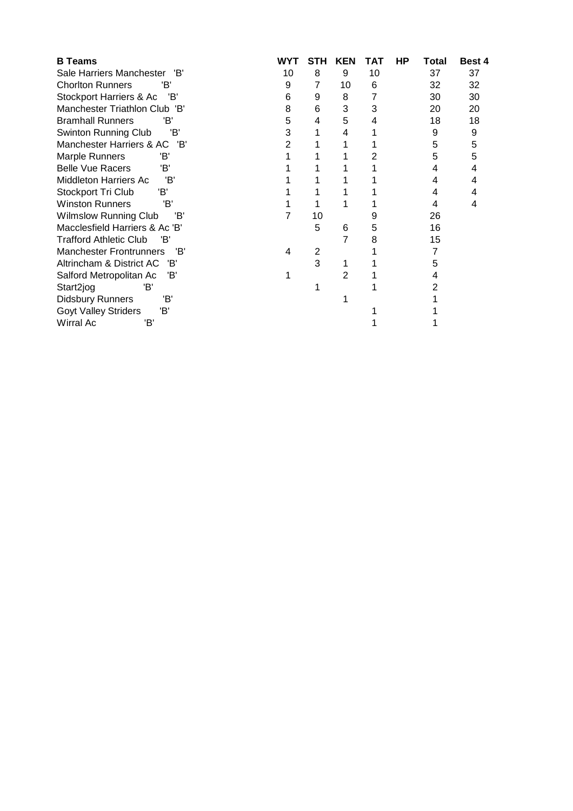| <b>B</b> Teams                        | WYT | STH | KEN | TAT | ΗP | <b>Total</b> | Best 4 |
|---------------------------------------|-----|-----|-----|-----|----|--------------|--------|
| Sale Harriers Manchester<br>'B'       | 10  | 8   | 9   | 10  |    | 37           | 37     |
| <b>Chorlton Runners</b><br>'B'        | 9   | 7   | 10  | 6   |    | 32           | 32     |
| Stockport Harriers & Ac<br>'B'        | 6   | 9   | 8   |     |    | 30           | 30     |
| Manchester Triathlon Club 'B'         | 8   | 6   | 3   | 3   |    | 20           | 20     |
| <b>Bramhall Runners</b><br>'B'        | 5   | 4   | 5   | 4   |    | 18           | 18     |
| 'B'<br><b>Swinton Running Club</b>    | 3   |     | 4   |     |    | 9            | 9      |
| Manchester Harriers & AC<br>'B'       | 2   |     |     |     |    | 5            | 5      |
| <b>Marple Runners</b><br>'B'          |     |     |     |     |    | 5            | 5      |
| 'B'<br><b>Belle Vue Racers</b>        |     |     |     |     |    | 4            | 4      |
| <b>Middleton Harriers Ac</b><br>'B'   |     |     |     |     |    | 4            | 4      |
| Stockport Tri Club<br>'B'             |     |     |     |     |    | 4            | 4      |
| <b>Winston Runners</b><br>'B'         |     |     |     |     |    | 4            | 4      |
| 'B'<br><b>Wilmslow Running Club</b>   |     | 10  |     | 9   |    | 26           |        |
| Macclesfield Harriers & Ac 'B'        |     | 5   | 6   | 5   |    | 16           |        |
| <b>Trafford Athletic Club</b><br>'B'  |     |     |     | 8   |    | 15           |        |
| <b>Manchester Frontrunners</b><br>'B' | 4   | 2   |     |     |    |              |        |
| Altrincham & District AC<br>'B'       |     | 3   |     |     |    | 5            |        |
| 'B'<br>Salford Metropolitan Ac        |     |     | 2   |     |    |              |        |
| Start2jog<br>'B'                      |     |     |     |     |    |              |        |
| 'B'<br>Didsbury Runners               |     |     |     |     |    |              |        |
| 'B'<br><b>Goyt Valley Striders</b>    |     |     |     |     |    |              |        |
| Wirral Ac<br>'B'                      |     |     |     |     |    |              |        |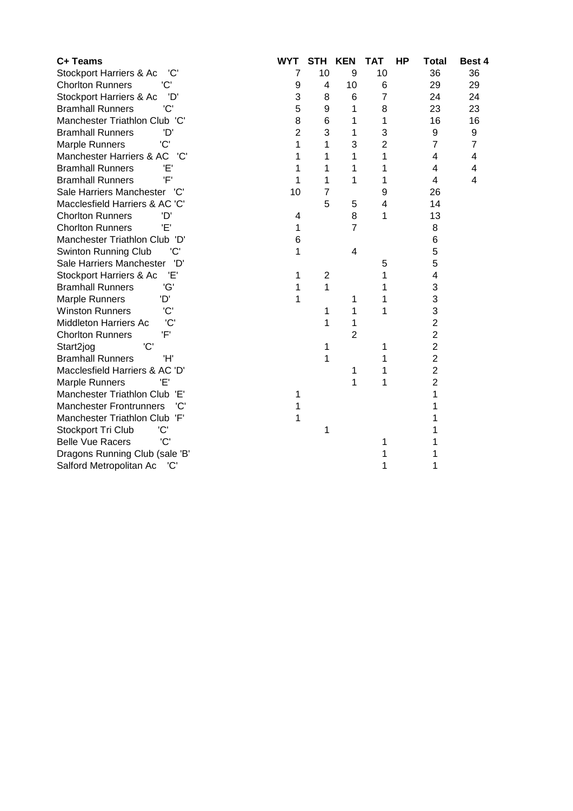| C+ Teams                              | <b>WYT</b>     | <b>STH</b>              | <b>KEN</b>     | <b>TAT</b>     | <b>HP</b> | <b>Total</b>   | Best 4         |
|---------------------------------------|----------------|-------------------------|----------------|----------------|-----------|----------------|----------------|
| Stockport Harriers & Ac<br>'C'        | 7              | 10                      | 9              | 10             |           | 36             | 36             |
| <b>Chorlton Runners</b><br>'C'        | 9              | 4                       | 10             | 6              |           | 29             | 29             |
| 'D'<br>Stockport Harriers & Ac        | 3              | 8                       | 6              | 7              |           | 24             | 24             |
| 'C'<br><b>Bramhall Runners</b>        | 5              | 9                       | 1              | 8              |           | 23             | 23             |
| Manchester Triathlon Club 'C'         | 8              | 6                       | 1              | 1              |           | 16             | 16             |
| <b>Bramhall Runners</b><br>'D         | $\overline{2}$ | 3                       | 1              | 3              |           | 9              | 9              |
| 'C'<br><b>Marple Runners</b>          | 1              | 1                       | 3              | $\overline{2}$ |           | $\overline{7}$ | $\overline{7}$ |
| Manchester Harriers & AC<br>'C'       | 1              | 1                       | 1              | 1              |           | 4              | 4              |
| <b>Bramhall Runners</b><br>Έ'         | 1              | 1                       | 1              | 1              |           | 4              | $\overline{4}$ |
| 'F'<br><b>Bramhall Runners</b>        | 1              | 1                       | 1              | 1              |           | 4              | 4              |
| Sale Harriers Manchester<br>'C'       | 10             | 7                       |                | 9              |           | 26             |                |
| Macclesfield Harriers & AC 'C'        |                | 5                       | 5              | 4              |           | 14             |                |
| <b>Chorlton Runners</b><br>'D'        | 4              |                         | 8              | 1              |           | 13             |                |
| Έ'<br><b>Chorlton Runners</b>         | 1              |                         | $\overline{7}$ |                |           | 8              |                |
| Manchester Triathlon Club 'D'         | 6              |                         |                |                |           | 6              |                |
| <b>Swinton Running Club</b><br>'C'    | 1              |                         | 4              |                |           | 5              |                |
| Sale Harriers Manchester<br>'D'       |                |                         |                | 5              |           | 5              |                |
| Έ΄<br>Stockport Harriers & Ac         | 1              | $\overline{\mathbf{c}}$ |                | 1              |           | 4              |                |
| 'G'<br><b>Bramhall Runners</b>        | 1              | 1                       |                | 1              |           | 3              |                |
| Marple Runners<br>'D'                 | 1              |                         | 1              | 1              |           | 3              |                |
| <b>Winston Runners</b><br>'C'         |                | 1                       | 1              | 1              |           | 3              |                |
| 'C'<br><b>Middleton Harriers Ac</b>   |                | 1                       | 1              |                |           | $\overline{2}$ |                |
| 'F'<br><b>Chorlton Runners</b>        |                |                         | $\overline{2}$ |                |           | $\overline{2}$ |                |
| 'C'<br>Start2jog                      |                | 1                       |                | 1              |           | $\overline{2}$ |                |
| <b>Bramhall Runners</b><br>'H'        |                | 1                       |                | 1              |           | $\overline{2}$ |                |
| Macclesfield Harriers & AC 'D'        |                |                         | 1              | 1              |           | $\overline{2}$ |                |
| 'F'<br><b>Marple Runners</b>          |                |                         | 1              | 1              |           | 2              |                |
| Manchester Triathlon Club 'E'         | 1              |                         |                |                |           |                |                |
| 'C'<br><b>Manchester Frontrunners</b> | 1              |                         |                |                |           |                |                |
| Manchester Triathlon Club 'F'         | 1              |                         |                |                |           |                |                |
| Stockport Tri Club<br>'C'             |                | 1                       |                |                |           |                |                |
| 'C'<br><b>Belle Vue Racers</b>        |                |                         |                | 1              |           |                |                |
| Dragons Running Club (sale 'B'        |                |                         |                |                |           |                |                |
| Salford Metropolitan Ac<br>'C'        |                |                         |                | 1              |           | 1              |                |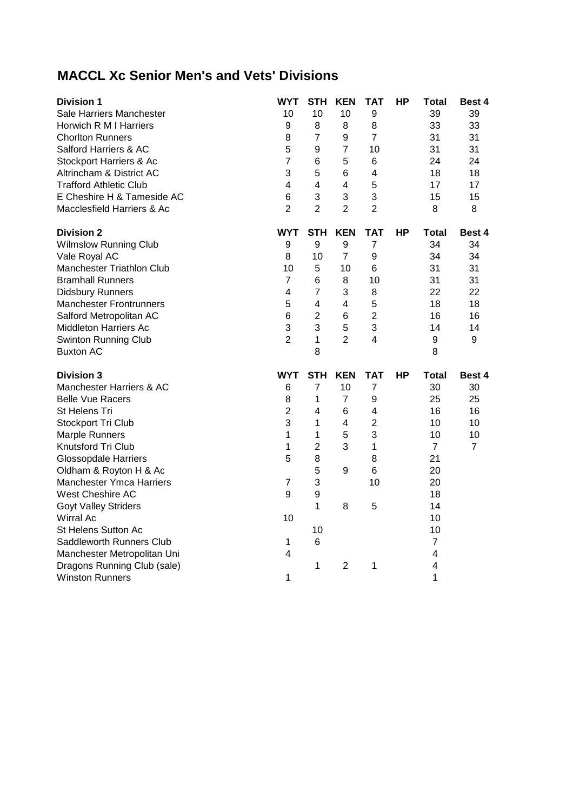## **MACCL Xc Senior Men's and Vets' Divisions**

| <b>Division 1</b>                                     | <b>WYT</b>     | STH                     | <b>KEN</b>              | TAT            | <b>HP</b> | Total                        | <b>Best 4</b>  |
|-------------------------------------------------------|----------------|-------------------------|-------------------------|----------------|-----------|------------------------------|----------------|
| Sale Harriers Manchester                              | 10             | 10                      | 10                      | 9              |           | 39                           | 39             |
| Horwich R M I Harriers                                | 9              | 8                       | 8                       | 8              |           | 33                           | 33             |
| <b>Chorlton Runners</b>                               | 8              | $\overline{7}$          | 9                       | $\overline{7}$ |           | 31                           | 31             |
| Salford Harriers & AC                                 | 5              | 9                       | $\overline{7}$          | 10             |           | 31                           | 31             |
| Stockport Harriers & Ac                               | $\overline{7}$ | 6                       | 5                       | 6              |           | 24                           | 24             |
| Altrincham & District AC                              | 3              | 5                       | 6                       | 4              |           | 18                           | 18             |
| <b>Trafford Athletic Club</b>                         | 4              | 4                       | $\overline{\mathbf{4}}$ | 5              |           | 17                           | 17             |
| E Cheshire H & Tameside AC                            | 6              | 3                       | 3                       | 3              |           | 15                           | 15             |
| Macclesfield Harriers & Ac                            | $\overline{2}$ | $\overline{2}$          | $\overline{2}$          | $\overline{2}$ |           | 8                            | 8              |
| <b>Division 2</b>                                     | WYT            | <b>STH</b>              | <b>KEN</b>              | <b>TAT</b>     | HP        | Total                        | Best 4         |
| <b>Wilmslow Running Club</b>                          | 9              | 9                       | 9                       | $\overline{7}$ |           | 34                           | 34             |
| Vale Royal AC                                         | 8              | 10                      | 7                       | 9              |           | 34                           | 34             |
| Manchester Triathlon Club                             | 10             | 5                       | 10                      | 6              |           | 31                           | 31             |
| <b>Bramhall Runners</b>                               | $\overline{7}$ | 6                       | 8                       | 10             |           | 31                           | 31             |
| <b>Didsbury Runners</b>                               | $\overline{4}$ | $\overline{7}$          | 3                       | 8              |           | 22                           | 22             |
| <b>Manchester Frontrunners</b>                        | 5              | 4                       | 4                       | 5              |           | 18                           | 18             |
| Salford Metropolitan AC                               | 6              | $\overline{2}$          | 6                       | $\overline{2}$ |           | 16                           | 16             |
| <b>Middleton Harriers Ac</b>                          | 3              | 3                       | 5                       | 3              |           | 14                           | 14             |
| <b>Swinton Running Club</b>                           | $\overline{2}$ | $\mathbf{1}$            | $\overline{2}$          | 4              |           | 9                            | 9              |
| <b>Buxton AC</b>                                      |                | 8                       |                         |                |           | 8                            |                |
| <b>Division 3</b>                                     | <b>WYT</b>     | <b>STH</b>              | <b>KEN</b>              | <b>TAT</b>     | <b>HP</b> | <b>Total</b>                 | <b>Best 4</b>  |
| Manchester Harriers & AC                              | 6              | $\overline{7}$          | 10                      | $\overline{7}$ |           | 30                           | 30             |
| <b>Belle Vue Racers</b>                               | 8              | 1                       | $\overline{7}$          | 9              |           | 25                           | 25             |
| St Helens Tri                                         | $\overline{2}$ | $\overline{\mathbf{4}}$ | $6\phantom{1}6$         | 4              |           | 16                           | 16             |
| Stockport Tri Club                                    | 3              | 1                       | 4                       | $\overline{c}$ |           | 10                           | 10             |
| <b>Marple Runners</b>                                 | 1              | $\mathbf{1}$            | 5                       | 3              |           | 10                           | 10             |
| Knutsford Tri Club                                    | 1              | $\overline{c}$          | 3                       | 1              |           | $\overline{7}$               | $\overline{7}$ |
| <b>Glossopdale Harriers</b>                           |                |                         |                         |                |           |                              |                |
|                                                       | 5              | 8                       |                         | 8              |           | 21                           |                |
| Oldham & Royton H & Ac                                |                | 5                       | 9                       | 6              |           | 20                           |                |
| Manchester Ymca Harriers                              | $\overline{7}$ | 3                       |                         | 10             |           | 20                           |                |
| West Cheshire AC                                      | 9              | $\boldsymbol{9}$        |                         |                |           | 18                           |                |
| <b>Goyt Valley Striders</b>                           |                | 1                       | 8                       | 5              |           | 14                           |                |
| Wirral Ac                                             | 10             |                         |                         |                |           | 10                           |                |
| St Helens Sutton Ac                                   |                | 10                      |                         |                |           | 10                           |                |
| Saddleworth Runners Club                              | 1              | 6                       |                         |                |           | $\overline{7}$               |                |
| Manchester Metropolitan Uni                           | 4              |                         |                         |                |           | 4                            |                |
| Dragons Running Club (sale)<br><b>Winston Runners</b> | 1              | 1                       | 2                       | 1              |           | $\overline{\mathbf{4}}$<br>1 |                |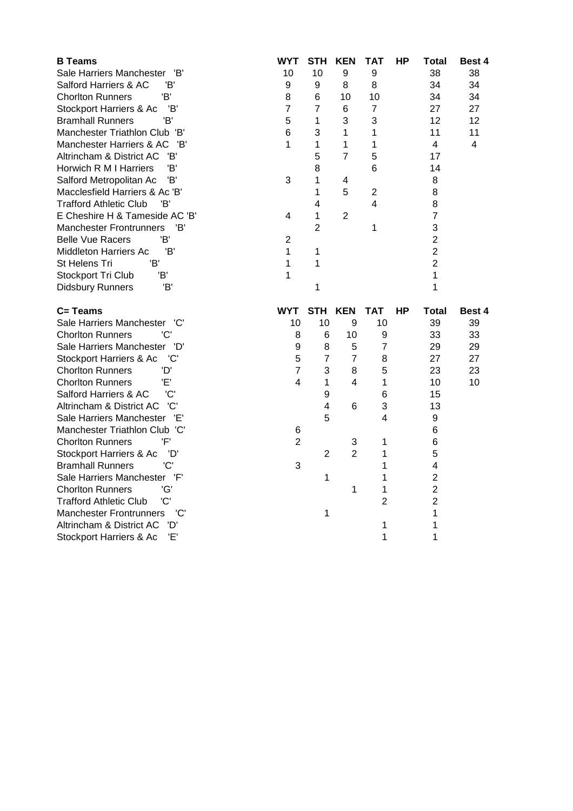| <b>B</b> Teams                                                    | WYT            | <b>STH</b>              | <b>KEN</b>       | TAT            | HР | Total                   | Best 4        |
|-------------------------------------------------------------------|----------------|-------------------------|------------------|----------------|----|-------------------------|---------------|
| Sale Harriers Manchester<br>'B'                                   | 10             | 10                      | $\boldsymbol{9}$ | 9              |    | 38                      | 38            |
| 'B'<br>Salford Harriers & AC                                      | 9              | 9                       | 8                | 8              |    | 34                      | 34            |
| 'B'<br><b>Chorlton Runners</b>                                    | 8              | 6                       | 10               | 10             |    | 34                      | 34            |
| 'B'<br>Stockport Harriers & Ac                                    | $\overline{7}$ | $\overline{7}$          | 6                | 7              |    | 27                      | 27            |
| 'B'<br><b>Bramhall Runners</b>                                    | 5              | 1                       | 3                | 3              |    | 12                      | 12            |
| Manchester Triathlon Club 'B'                                     | 6              | 3                       | 1                | 1              |    | 11                      | 11            |
| Manchester Harriers & AC<br>'B'                                   | 1              | 1                       | 1                | 1              |    | $\overline{\mathbf{4}}$ | 4             |
| Altrincham & District AC<br>'B'                                   |                | 5                       | 7                | 5              |    | 17                      |               |
| 'B'<br>Horwich R M I Harriers                                     |                | 8                       |                  | 6              |    | 14                      |               |
| 'B'<br>Salford Metropolitan Ac                                    | 3              | 1                       | 4                |                |    | 8                       |               |
| Macclesfield Harriers & Ac 'B'                                    |                | 1                       | 5                | $\overline{2}$ |    | 8                       |               |
| <b>Trafford Athletic Club</b><br>'B'                              |                | 4                       |                  | 4              |    | 8                       |               |
| E Cheshire H & Tameside AC 'B'                                    | 4              | 1                       | 2                |                |    | $\overline{7}$          |               |
| <b>Manchester Frontrunners</b><br>'B'                             |                | $\overline{2}$          |                  | 1              |    | 3                       |               |
| 'B'<br><b>Belle Vue Racers</b>                                    | $\overline{2}$ |                         |                  |                |    | $\overline{2}$          |               |
| <b>Middleton Harriers Ac</b><br>'B'                               | 1              | 1                       |                  |                |    | $\overline{c}$          |               |
| St Helens Tri<br>'B'                                              | 1              | 1                       |                  |                |    | $\overline{2}$          |               |
| Stockport Tri Club<br>'B'                                         | 1              |                         |                  |                |    | 1                       |               |
| 'B'<br><b>Didsbury Runners</b>                                    |                | 1                       |                  |                |    | 1                       |               |
|                                                                   |                |                         |                  |                |    |                         |               |
|                                                                   |                |                         |                  |                |    |                         |               |
| C= Teams                                                          | WYT            | <b>STH</b>              | <b>KEN</b>       | TAT            | НP | Total                   | <b>Best 4</b> |
| Sale Harriers Manchester 'C'                                      | 10             | 10                      | 9                | 10             |    | 39                      | 39            |
| 'C'<br><b>Chorlton Runners</b>                                    | 8              | 6                       | 10               | 9              |    | 33                      | 33            |
| Sale Harriers Manchester<br>'D'                                   | 9              | 8                       | 5                | $\overline{7}$ |    | 29                      | 29            |
| Stockport Harriers & Ac<br>'C'                                    | 5              | $\overline{7}$          | $\overline{7}$   | 8              |    | 27                      | 27            |
| 'D'<br><b>Chorlton Runners</b>                                    | $\overline{7}$ | 3                       | 8                | 5              |    | 23                      | 23            |
| <b>Chorlton Runners</b><br>Έ'                                     | 4              | 1                       | 4                | 1              |    | 10                      | 10            |
| 'C'<br>Salford Harriers & AC                                      |                | 9                       |                  | 6              |    | 15                      |               |
| 'C'<br>Altrincham & District AC                                   |                | $\overline{\mathbf{4}}$ | 6                | 3              |    | 13                      |               |
| Sale Harriers Manchester 'E'                                      |                | 5                       |                  | 4              |    | $\boldsymbol{9}$        |               |
| Manchester Triathlon Club 'C'                                     | 6              |                         |                  |                |    | 6                       |               |
| 'F'<br><b>Chorlton Runners</b>                                    | $\overline{2}$ |                         | 3                | 1              |    | 6                       |               |
| Stockport Harriers & Ac<br>'D'                                    |                | $\overline{2}$          | $\overline{2}$   | 1              |    | 5                       |               |
| 'C'<br><b>Bramhall Runners</b>                                    | 3              |                         |                  | 1              |    | 4                       |               |
| Sale Harriers Manchester<br>'F'                                   |                | 1                       |                  | 1              |    | $\overline{2}$          |               |
| 'G'<br><b>Chorlton Runners</b>                                    |                |                         | 1                | 1              |    | $\overline{c}$          |               |
| 'C'<br><b>Trafford Athletic Club</b>                              |                |                         |                  | $\overline{2}$ |    | $\overline{2}$          |               |
| <b>Manchester Frontrunners</b><br>'C'                             |                | 1                       |                  |                |    | 1                       |               |
| Altrincham & District AC<br>'D'<br>'F'<br>Stockport Harriers & Ac |                |                         |                  | 1<br>1         |    | 1<br>1                  |               |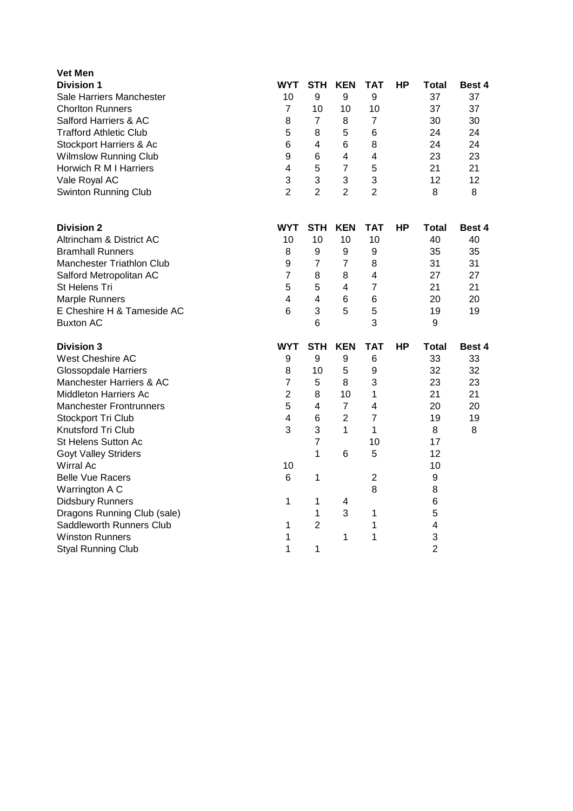| Vet Men                          |                |                |                |                |    |                |               |
|----------------------------------|----------------|----------------|----------------|----------------|----|----------------|---------------|
| <b>Division 1</b>                | WYT            | <b>STH</b>     | <b>KEN</b>     | TAT            | HР | Total          | <b>Best 4</b> |
| Sale Harriers Manchester         | 10             | 9              | 9              | 9              |    | 37             | 37            |
| <b>Chorlton Runners</b>          | $\overline{7}$ | 10             | 10             | 10             |    | 37             | 37            |
| Salford Harriers & AC            | 8              | $\overline{7}$ | 8              | $\overline{7}$ |    | 30             | 30            |
| <b>Trafford Athletic Club</b>    | 5              | 8              | 5              | 6              |    | 24             | 24            |
| Stockport Harriers & Ac          | 6              | 4              | 6              | 8              |    | 24             | 24            |
| <b>Wilmslow Running Club</b>     | 9              | 6              | 4              | 4              |    | 23             | 23            |
| Horwich R M I Harriers           | 4              | 5              | $\overline{7}$ | 5              |    | 21             | 21            |
| Vale Royal AC                    | 3              | 3              | 3              | 3              |    | 12             | 12            |
| Swinton Running Club             | $\overline{2}$ | $\overline{2}$ | $\overline{2}$ | $\overline{2}$ |    | 8              | 8             |
| <b>Division 2</b>                | WYT            | STH            | <b>KEN</b>     | TAT            | НP | Total          | <b>Best 4</b> |
| Altrincham & District AC         | 10             | 10             | 10             | 10             |    | 40             | 40            |
| <b>Bramhall Runners</b>          | 8              | 9              | 9              | 9              |    | 35             | 35            |
| <b>Manchester Triathlon Club</b> | 9              | $\overline{7}$ | $\overline{7}$ | 8              |    | 31             | 31            |
| Salford Metropolitan AC          | $\overline{7}$ | 8              | 8              | 4              |    | 27             | 27            |
| St Helens Tri                    | 5              | 5              | 4              | $\overline{7}$ |    | 21             | 21            |
| <b>Marple Runners</b>            | 4              | 4              | 6              | 6              |    | 20             | 20            |
| E Cheshire H & Tameside AC       | 6              | 3              | 5              | 5              |    | 19             | 19            |
| <b>Buxton AC</b>                 |                | 6              |                | 3              |    | 9              |               |
| <b>Division 3</b>                | <b>WYT</b>     | <b>STH</b>     | <b>KEN</b>     | <b>TAT</b>     | HР | Total          | Best 4        |
| West Cheshire AC                 | 9              | 9              | 9              | 6              |    | 33             | 33            |
| <b>Glossopdale Harriers</b>      | 8              | 10             | 5              | 9              |    | 32             | 32            |
| Manchester Harriers & AC         | 7              | 5              | 8              | 3              |    | 23             | 23            |
| <b>Middleton Harriers Ac</b>     | $\overline{2}$ | 8              | 10             | 1              |    | 21             | 21            |
| <b>Manchester Frontrunners</b>   | 5              | 4              | $\overline{7}$ | 4              |    | 20             | 20            |
| Stockport Tri Club               | 4              | 6              | $\overline{2}$ | $\overline{7}$ |    | 19             | 19            |
| Knutsford Tri Club               | 3              | 3              | 1              | 1              |    | 8              | 8             |
| St Helens Sutton Ac              |                | $\overline{7}$ |                | 10             |    | 17             |               |
| <b>Goyt Valley Striders</b>      |                | 1              | 6              | 5              |    | 12             |               |
| <b>Wirral Ac</b>                 | 10             |                |                |                |    | 10             |               |
| <b>Belle Vue Racers</b>          | 6              | 1              |                | $\overline{c}$ |    | 9              |               |
| Warrington A C                   |                |                |                | 8              |    | 8              |               |
| <b>Didsbury Runners</b>          | 1              | 1              | 4              |                |    | 6              |               |
| Dragons Running Club (sale)      |                | 1              | 3              | 1              |    | 5              |               |
| Saddleworth Runners Club         | 1              | $\overline{2}$ |                | 1              |    | 4              |               |
| <b>Winston Runners</b>           | 1              |                | 1              | 1              |    | 3              |               |
| <b>Styal Running Club</b>        | 1              | 1              |                |                |    | $\overline{2}$ |               |